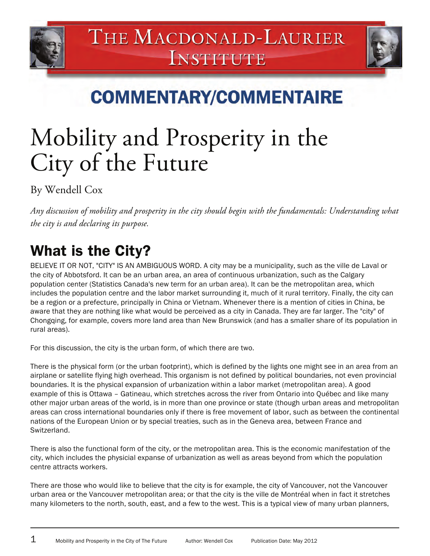



**COMMENTARY/COMMENTAIRE** 

# Mobility and Prosperity in the City of the Future

By Wendell Cox

*Any discussion of mobility and prosperity in the city should begin with the fundamentals: Understanding what the city is and declaring its purpose.* 

# What is the City?

BELIEVE IT OR NOT, "CITY" IS AN AMBIGUOUS WORD. A city may be a municipality, such as the ville de Laval or the city of Abbotsford. It can be an urban area, an area of continuous urbanization, such as the Calgary population center (Statistics Canada's new term for an urban area). It can be the metropolitan area, which includes the population centre and the labor market surrounding it, much of it rural territory. Finally, the city can be a region or a prefecture, principally in China or Vietnam. Whenever there is a mention of cities in China, be aware that they are nothing like what would be perceived as a city in Canada. They are far larger. The "city" of Chongqing, for example, covers more land area than New Brunswick (and has a smaller share of its population in rural areas).

For this discussion, the city is the urban form, of which there are two.

There is the physical form (or the urban footprint), which is defined by the lights one might see in an area from an airplane or satellite flying high overhead. This organism is not defined by political boundaries, not even provincial boundaries. It is the physical expansion of urbanization within a labor market (metropolitan area). A good example of this is Ottawa – Gatineau, which stretches across the river from Ontario into Québec and like many other major urban areas of the world, is in more than one province or state (though urban areas and metropolitan areas can cross international boundaries only if there is free movement of labor, such as between the continental nations of the European Union or by special treaties, such as in the Geneva area, between France and Switzerland.

There is also the functional form of the city, or the metropolitan area. This is the economic manifestation of the city, which includes the physicial expanse of urbanization as well as areas beyond from which the population centre attracts workers.

There are those who would like to believe that the city is for example, the city of Vancouver, not the Vancouver urban area or the Vancouver metropolitan area; or that the city is the ville de Montréal when in fact it stretches many kilometers to the north, south, east, and a few to the west. This is a typical view of many urban planners,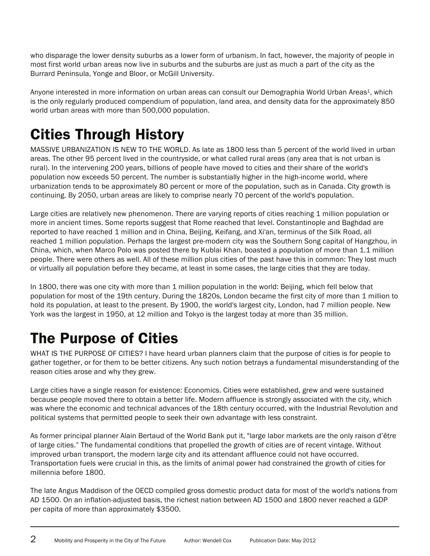who disparage the lower density suburbs as a lower form of urbanism. In fact, however, the majority of people in most first world urban areas now live in suburbs and the suburbs are just as much a part of the city as the Burrard Peninsula, Yonge and Bloor, or McGill University.

Anyone interested in more information on urban areas can consult our Demographia World Urban Areas<sup>1</sup>, which is the only regularly produced compendium of population, land area, and density data for the approximately 850 world urban areas with more than 500,000 population.

# Cities Through History

MASSIVE URBANIZATION IS NEW TO THE WORLD. As late as 1800 less than 5 percent of the world lived in urban areas. The other 95 percent lived in the countryside, or what called rural areas (any area that is not urban is rural). In the intervening 200 years, billions of people have moved to cities and their share of the world's population now exceeds 50 percent. The number is substantially higher in the high-income world, where urbanization tends to be approximately 80 percent or more of the population, such as in Canada. City growth is continuing. By 2050, urban areas are likely to comprise nearly 70 percent of the world's population.

Large cities are relatively new phenomenon. There are varying reports of cities reaching 1 million population or more in ancient times. Some reports suggest that Rome reached that level. Constantinople and Baghdad are reported to have reached 1 million and in China, Beijing, Keifang, and Xi'an, terminus of the Silk Road, all reached 1 million population. Perhaps the largest pre-modern city was the Southern Song capital of Hangzhou, in China, which, when Marco Polo was posted there by Kublai Khan, boasted a population of more than 1.1 million people. There were others as well. All of these million plus cities of the past have this in common: They lost much or virtually all population before they became, at least in some cases, the large cities that they are today.

In 1800, there was one city with more than 1 million population in the world: Beijing, which fell below that population for most of the 19th century. During the 1820s, London became the first city of more than 1 million to hold its population, at least to the present. By 1900, the world's largest city, London, had 7 million people. New York was the largest in 1950, at 12 million and Tokyo is the largest today at more than 35 million.

### The Purpose of Cities

WHAT IS THE PURPOSE OF CITIES? I have heard urban planners claim that the purpose of cities is for people to gather together, or for them to be better citizens. Any such notion betrays a fundamental misunderstanding of the reason cities arose and why they grew.

Large cities have a single reason for existence: Economics. Cities were established, grew and were sustained because people moved there to obtain a better life. Modern affluence is strongly associated with the city, which was where the economic and technical advances of the 18th century occurred, with the Industrial Revolution and political systems that permitted people to seek their own advantage with less constraint.

As former principal planner Alain Bertaud of the World Bank put it, "large labor markets are the only raison d'être of large cities." The fundamental conditions that propelled the growth of cities are of recent vintage. Without improved urban transport, the modern large city and its attendant affluence could not have occurred. Transportation fuels were crucial in this, as the limits of animal power had constrained the growth of cities for millennia before 1800.

The late Angus Maddison of the OECD compiled gross domestic product data for most of the world's nations from AD 1500. On an inflation-adjusted basis, the richest nation between AD 1500 and 1800 never reached a GDP per capita of more than approximately \$3500.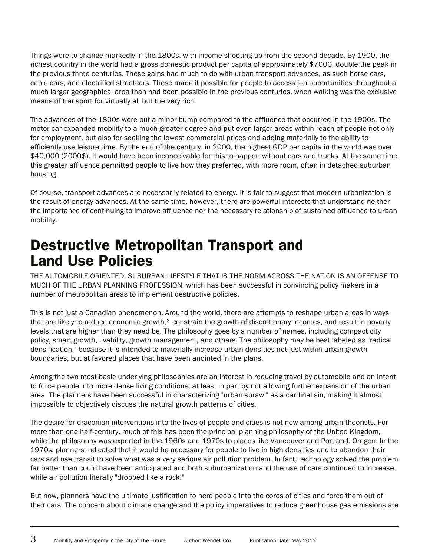Things were to change markedly in the 1800s, with income shooting up from the second decade. By 1900, the richest country in the world had a gross domestic product per capita of approximately \$7000, double the peak in the previous three centuries. These gains had much to do with urban transport advances, as such horse cars, cable cars, and electrified streetcars. These made it possible for people to access job opportunities throughout a much larger geographical area than had been possible in the previous centuries, when walking was the exclusive means of transport for virtually all but the very rich.

The advances of the 1800s were but a minor bump compared to the affluence that occurred in the 1900s. The motor car expanded mobility to a much greater degree and put even larger areas within reach of people not only for employment, but also for seeking the lowest commercial prices and adding materially to the ability to efficiently use leisure time. By the end of the century, in 2000, the highest GDP per capita in the world was over \$40,000 (2000\$). It would have been inconceivable for this to happen without cars and trucks. At the same time, this greater affluence permitted people to live how they preferred, with more room, often in detached suburban housing.

Of course, transport advances are necessarily related to energy. It is fair to suggest that modern urbanization is the result of energy advances. At the same time, however, there are powerful interests that understand neither the importance of continuing to improve affluence nor the necessary relationship of sustained affluence to urban mobility.

#### Destructive Metropolitan Transport and Land Use Policies

THE AUTOMOBILE ORIENTED, SUBURBAN LIFESTYLE THAT IS THE NORM ACROSS THE NATION IS AN OFFENSE TO MUCH OF THE URBAN PLANNING PROFESSION, which has been successful in convincing policy makers in a number of metropolitan areas to implement destructive policies.

This is not just a Canadian phenomenon. Around the world, there are attempts to reshape urban areas in ways that are likely to reduce economic growth,<sup>2</sup> constrain the growth of discretionary incomes, and result in poverty levels that are higher than they need be. The philosophy goes by a number of names, including compact city policy, smart growth, livability, growth management, and others. The philosophy may be best labeled as "radical densification," because it is intended to materially increase urban densities not just within urban growth boundaries, but at favored places that have been anointed in the plans.

Among the two most basic underlying philosophies are an interest in reducing travel by automobile and an intent to force people into more dense living conditions, at least in part by not allowing further expansion of the urban area. The planners have been successful in characterizing "urban sprawl" as a cardinal sin, making it almost impossible to objectively discuss the natural growth patterns of cities.

The desire for draconian interventions into the lives of people and cities is not new among urban theorists. For more than one half-century, much of this has been the principal planning philosophy of the United Kingdom, while the philosophy was exported in the 1960s and 1970s to places like Vancouver and Portland, Oregon. In the 1970s, planners indicated that it would be necessary for people to live in high densities and to abandon their cars and use transit to solve what was a very serious air pollution problem. In fact, technology solved the problem far better than could have been anticipated and both suburbanization and the use of cars continued to increase, while air pollution literally "dropped like a rock."

But now, planners have the ultimate justification to herd people into the cores of cities and force them out of their cars. The concern about climate change and the policy imperatives to reduce greenhouse gas emissions are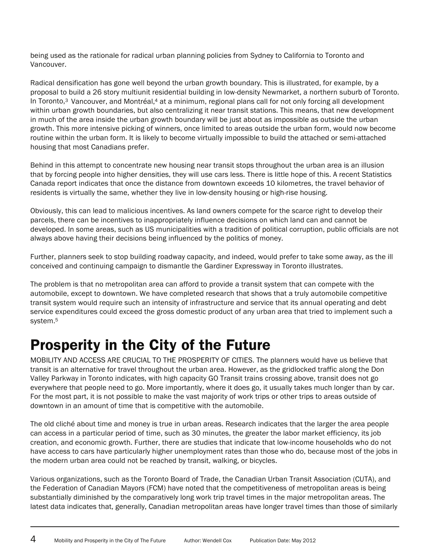being used as the rationale for radical urban planning policies from Sydney to California to Toronto and Vancouver.

Radical densification has gone well beyond the urban growth boundary. This is illustrated, for example, by a proposal to build a 26 story multiunit residential building in low-density Newmarket, a northern suburb of Toronto. In Toronto,<sup>3</sup> Vancouver, and Montréal,<sup>4</sup> at a minimum, regional plans call for not only forcing all development within urban growth boundaries, but also centralizing it near transit stations. This means, that new development in much of the area inside the urban growth boundary will be just about as impossible as outside the urban growth. This more intensive picking of winners, once limited to areas outside the urban form, would now become routine within the urban form. It is likely to become virtually impossible to build the attached or semi-attached housing that most Canadians prefer.

Behind in this attempt to concentrate new housing near transit stops throughout the urban area is an illusion that by forcing people into higher densities, they will use cars less. There is little hope of this. A recent Statistics Canada report indicates that once the distance from downtown exceeds 10 kilometres, the travel behavior of residents is virtually the same, whether they live in low-density housing or high-rise housing.

Obviously, this can lead to malicious incentives. As land owners compete for the scarce right to develop their parcels, there can be incentives to inappropriately influence decisions on which land can and cannot be developed. In some areas, such as US municipalities with a tradition of political corruption, public officials are not always above having their decisions being influenced by the politics of money.

Further, planners seek to stop building roadway capacity, and indeed, would prefer to take some away, as the ill conceived and continuing campaign to dismantle the Gardiner Expressway in Toronto illustrates.

The problem is that no metropolitan area can afford to provide a transit system that can compete with the automobile, except to downtown. We have completed research that shows that a truly automobile competitive transit system would require such an intensity of infrastructure and service that its annual operating and debt service expenditures could exceed the gross domestic product of any urban area that tried to implement such a system.5

#### Prosperity in the City of the Future

MOBILITY AND ACCESS ARE CRUCIAL TO THE PROSPERITY OF CITIES. The planners would have us believe that transit is an alternative for travel throughout the urban area. However, as the gridlocked traffic along the Don Valley Parkway in Toronto indicates, with high capacity GO Transit trains crossing above, transit does not go everywhere that people need to go. More importantly, where it does go, it usually takes much longer than by car. For the most part, it is not possible to make the vast majority of work trips or other trips to areas outside of downtown in an amount of time that is competitive with the automobile.

The old cliché about time and money is true in urban areas. Research indicates that the larger the area people can access in a particular period of time, such as 30 minutes, the greater the labor market efficiency, its job creation, and economic growth. Further, there are studies that indicate that low-income households who do not have access to cars have particularly higher unemployment rates than those who do, because most of the jobs in the modern urban area could not be reached by transit, walking, or bicycles.

Various organizations, such as the Toronto Board of Trade, the Canadian Urban Transit Association (CUTA), and the Federation of Canadian Mayors (FCM) have noted that the competitiveness of metropolitan areas is being substantially diminished by the comparatively long work trip travel times in the major metropolitan areas. The latest data indicates that, generally, Canadian metropolitan areas have longer travel times than those of similarly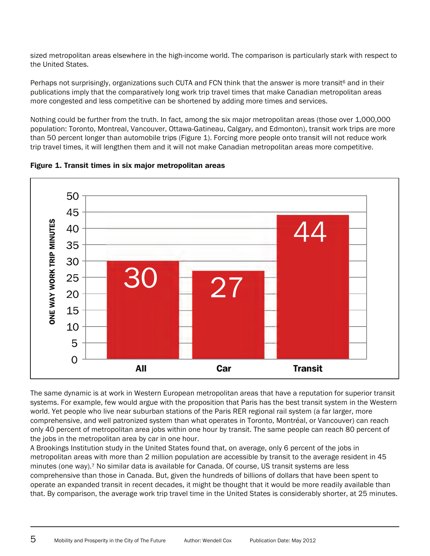sized metropolitan areas elsewhere in the high-income world. The comparison is particularly stark with respect to the United States.

Perhaps not surprisingly, organizations such CUTA and FCN think that the answer is more transit<sup>6</sup> and in their publications imply that the comparatively long work trip travel times that make Canadian metropolitan areas more congested and less competitive can be shortened by adding more times and services.

Nothing could be further from the truth. In fact, among the six major metropolitan areas (those over 1,000,000 population: Toronto, Montreal, Vancouver, Ottawa-Gatineau, Calgary, and Edmonton), transit work trips are more than 50 percent longer than automobile trips (Figure 1). Forcing more people onto transit will not reduce work trip travel times, it will lengthen them and it will not make Canadian metropolitan areas more competitive.



Figure 1. Transit times in six major metropolitan areas

The same dynamic is at work in Western European metropolitan areas that have a reputation for superior transit systems. For example, few would argue with the proposition that Paris has the best transit system in the Western world. Yet people who live near suburban stations of the Paris RER regional rail system (a far larger, more comprehensive, and well patronized system than what operates in Toronto, Montréal, or Vancouver) can reach only 40 percent of metropolitan area jobs within one hour by transit. The same people can reach 80 percent of the jobs in the metropolitan area by car in one hour.

A Brookings Institution study in the United States found that, on average, only 6 percent of the jobs in metropolitan areas with more than 2 million population are accessible by transit to the average resident in 45 minutes (one way).7 No similar data is available for Canada. Of course, US transit systems are less comprehensive than those in Canada. But, given the hundreds of billions of dollars that have been spent to operate an expanded transit in recent decades, it might be thought that it would be more readily available than that. By comparison, the average work trip travel time in the United States is considerably shorter, at 25 minutes.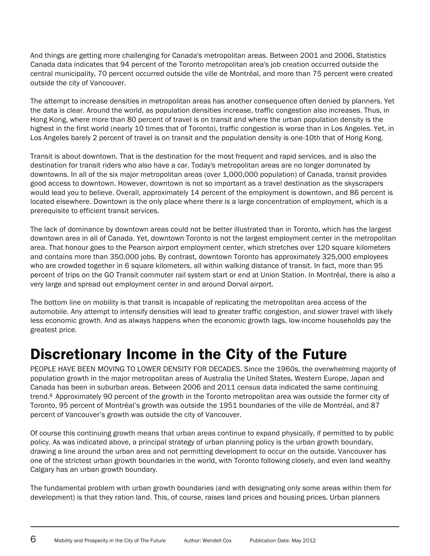And things are getting more challenging for Canada's metropolitan areas. Between 2001 and 2006, Statistics Canada data indicates that 94 percent of the Toronto metropolitan area's job creation occurred outside the central municipality, 70 percent occurred outside the ville de Montréal, and more than 75 percent were created outside the city of Vancouver.

The attempt to increase densities in metropolitan areas has another consequence often denied by planners. Yet the data is clear. Around the world, as population densities increase, traffic congestion also increases. Thus, in Hong Kong, where more than 80 percent of travel is on transit and where the urban population density is the highest in the first world (nearly 10 times that of Toronto), traffic congestion is worse than in Los Angeles. Yet, in Los Angeles barely 2 percent of travel is on transit and the population density is one-10th that of Hong Kong.

Transit is about downtown. That is the destination for the most frequent and rapid services, and is also the destination for transit riders who also have a car. Today's metropolitan areas are no longer dominated by downtowns. In all of the six major metropolitan areas (over 1,000,000 population) of Canada, transit provides good access to downtown. However, downtown is not so important as a travel destination as the skyscrapers would lead you to believe. Overall, approximately 14 percent of the employment is downtown, and 86 percent is located elsewhere. Downtown is the only place where there is a large concentration of employment, which is a prerequisite to efficient transit services.

The lack of dominance by downtown areas could not be better illustrated than in Toronto, which has the largest downtown area in all of Canada. Yet, downtown Toronto is not the largest employment center in the metropolitan area. That honour goes to the Pearson airport employment center, which stretches over 120 square kilometers and contains more than 350,000 jobs. By contrast, downtown Toronto has approximately 325,000 employees who are crowded together in 6 square kilometers, all within walking distance of transit. In fact, more than 95 percent of trips on the GO Transit commuter rail system start or end at Union Station. In Montréal, there is also a very large and spread out employment center in and around Dorval airport.

The bottom line on mobility is that transit is incapable of replicating the metropolitan area access of the automobile. Any attempt to intensify densities will lead to greater traffic congestion, and slower travel with likely less economic growth. And as always happens when the economic growth lags, low-income households pay the greatest price.

#### Discretionary Income in the City of the Future

PEOPLE HAVE BEEN MOVING TO LOWER DENSITY FOR DECADES. Since the 1960s, the overwhelming majority of population growth in the major metropolitan areas of Australia the United States, Western Europe, Japan and Canada has been in suburban areas. Between 2006 and 2011 census data indicated the same continuing trend.8 Approximately 90 percent of the growth in the Toronto metropolitan area was outside the former city of Toronto, 95 percent of Montréal's growth was outside the 1951 boundaries of the ville de Montréal, and 87 percent of Vancouver's growth was outside the city of Vancouver.

Of course this continuing growth means that urban areas continue to expand physically, if permitted to by public policy. As was indicated above, a principal strategy of urban planning policy is the urban growth boundary, drawing a line around the urban area and not permitting development to occur on the outside. Vancouver has one of the strictest urban growth boundaries in the world, with Toronto following closely, and even land wealthy Calgary has an urban growth boundary.

The fundamental problem with urban growth boundaries (and with designating only some areas within them for development) is that they ration land. This, of course, raises land prices and housing prices. Urban planners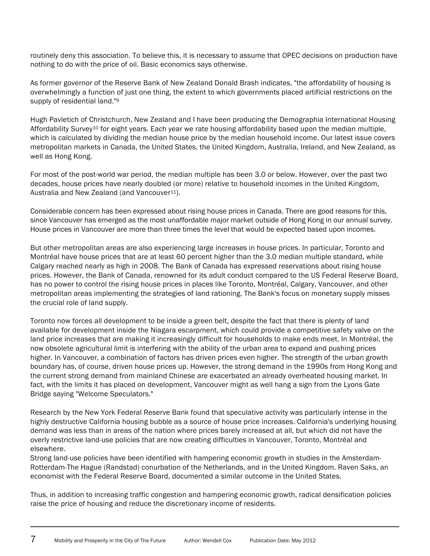routinely deny this association. To believe this, it is necessary to assume that OPEC decisions on production have nothing to do with the price of oil. Basic economics says otherwise.

As former governor of the Reserve Bank of New Zealand Donald Brash indicates, "the affordability of housing is overwhelmingly a function of just one thing, the extent to which governments placed artificial restrictions on the supply of residential land."<sup>9</sup>

Hugh Pavletich of Christchurch, New Zealand and I have been producing the Demographia International Housing Affordability Survey10 for eight years. Each year we rate housing affordability based upon the median multiple, which is calculated by dividing the median house price by the median household income. Our latest issue covers metropolitan markets in Canada, the United States, the United Kingdom, Australia, Ireland, and New Zealand, as well as Hong Kong.

For most of the post-world war period, the median multiple has been 3.0 or below. However, over the past two decades, house prices have nearly doubled (or more) relative to household incomes in the United Kingdom, Australia and New Zealand (and Vancouver<sup>11</sup>).

Considerable concern has been expressed about rising house prices in Canada. There are good reasons for this, since Vancouver has emerged as the most unaffordable major market outside of Hong Kong in our annual survey. House prices in Vancouver are more than three times the level that would be expected based upon incomes.

But other metropolitan areas are also experiencing large increases in house prices. In particular, Toronto and Montréal have house prices that are at least 60 percent higher than the 3.0 median multiple standard, while Calgary reached nearly as high in 2008. The Bank of Canada has expressed reservations about rising house prices. However, the Bank of Canada, renowned for its adult conduct compared to the US Federal Reserve Board, has no power to control the rising house prices in places like Toronto, Montréal, Calgary, Vancouver, and other metropolitan areas implementing the strategies of land rationing. The Bank's focus on monetary supply misses the crucial role of land supply.

Toronto now forces all development to be inside a green belt, despite the fact that there is plenty of land available for development inside the Niagara escarpment, which could provide a competitive safety valve on the land price increases that are making it increasingly difficult for households to make ends meet. In Montréal, the now obsolete agricultural limit is interfering with the ability of the urban area to expand and pushing prices higher. In Vancouver, a combination of factors has driven prices even higher. The strength of the urban growth boundary has, of course, driven house prices up. However, the strong demand in the 1990s from Hong Kong and the current strong demand from mainland Chinese are exacerbated an already overheated housing market. In fact, with the limits it has placed on development, Vancouver might as well hang a sign from the Lyons Gate Bridge saying "Welcome Speculators."

Research by the New York Federal Reserve Bank found that speculative activity was particularly intense in the highly destructive California housing bubble as a source of house price increases. California's underlying housing demand was less than in areas of the nation where prices barely increased at all, but which did not have the overly restrictive land-use policies that are now creating difficulties in Vancouver, Toronto, Montréal and elsewhere.

Strong land-use policies have been identified with hampering economic growth in studies in the Amsterdam-Rotterdam-The Hague (Randstad) conurbation of the Netherlands, and in the United Kingdom. Raven Saks, an economist with the Federal Reserve Board, documented a similar outcome in the United States.

Thus, in addition to increasing traffic congestion and hampering economic growth, radical densification policies raise the price of housing and reduce the discretionary income of residents.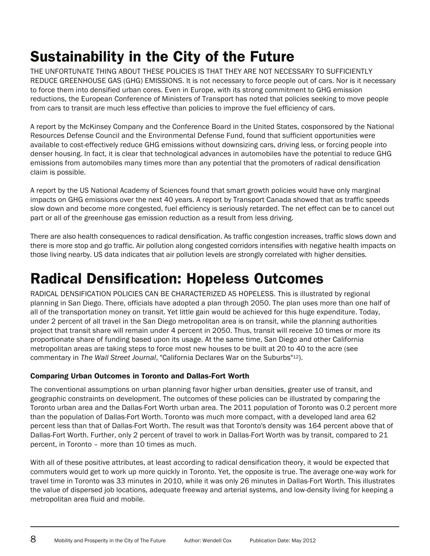THE UNFORTUNATE THING ABOUT THESE POLICIES IS THAT THEY ARE NOT NECESSARY TO SUFFICIENTLY REDUCE GREENHOUSE GAS (GHG) EMISSIONS. It is not necessary to force people out of cars. Nor is it necessary to force them into densified urban cores. Even in Europe, with its strong commitment to GHG emission reductions, the European Conference of Ministers of Transport has noted that policies seeking to move people from cars to transit are much less effective than policies to improve the fuel efficiency of cars.

A report by the McKinsey Company and the Conference Board in the United States, cosponsored by the National Resources Defense Council and the Environmental Defense Fund, found that sufficient opportunities were available to cost-effectively reduce GHG emissions without downsizing cars, driving less, or forcing people into denser housing. In fact, it is clear that technological advances in automobiles have the potential to reduce GHG emissions from automobiles many times more than any potential that the promoters of radical densification claim is possible.

A report by the US National Academy of Sciences found that smart growth policies would have only marginal impacts on GHG emissions over the next 40 years. A report by Transport Canada showed that as traffic speeds slow down and become more congested, fuel efficiency is seriously retarded. The net effect can be to cancel out part or all of the greenhouse gas emission reduction as a result from less driving.

There are also health consequences to radical densification. As traffic congestion increases, traffic slows down and there is more stop and go traffic. Air pollution along congested corridors intensifies with negative health impacts on those living nearby. US data indicates that air pollution levels are strongly correlated with higher densities.

# Radical Densification: Hopeless Outcomes

RADICAL DENSIFICATION POLICIES CAN BE CHARACTERIZED AS HOPELESS. This is illustrated by regional planning in San Diego. There, officials have adopted a plan through 2050. The plan uses more than one half of all of the transportation money on transit. Yet little gain would be achieved for this huge expenditure. Today, under 2 percent of all travel in the San Diego metropolitan area is on transit, while the planning authorities project that transit share will remain under 4 percent in 2050. Thus, transit will receive 10 times or more its proportionate share of funding based upon its usage. At the same time, San Diego and other California metropolitan areas are taking steps to force most new houses to be built at 20 to 40 to the acre (see commentary in *The Wall Street Journal*, "California Declares War on the Suburbs"12).

#### Comparing Urban Outcomes in Toronto and Dallas-Fort Worth

The conventional assumptions on urban planning favor higher urban densities, greater use of transit, and geographic constraints on development. The outcomes of these policies can be illustrated by comparing the Toronto urban area and the Dallas-Fort Worth urban area. The 2011 population of Toronto was 0.2 percent more than the population of Dallas-Fort Worth. Toronto was much more compact, with a developed land area 62 percent less than that of Dallas-Fort Worth. The result was that Toronto's density was 164 percent above that of Dallas-Fort Worth. Further, only 2 percent of travel to work in Dallas-Fort Worth was by transit, compared to 21 percent, in Toronto – more than 10 times as much.

With all of these positive attributes, at least according to radical densification theory, it would be expected that commuters would get to work up more quickly in Toronto. Yet, the opposite is true. The average one-way work for travel time in Toronto was 33 minutes in 2010, while it was only 26 minutes in Dallas-Fort Worth. This illustrates the value of dispersed job locations, adequate freeway and arterial systems, and low-density living for keeping a metropolitan area fluid and mobile.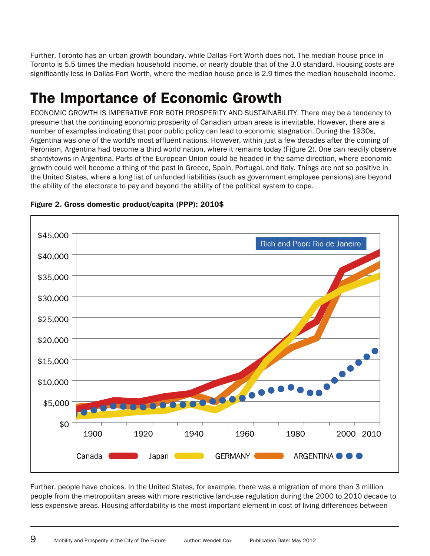Further, Toronto has an urban growth boundary, while Dallas-Fort Worth does not. The median house price in Toronto is 5.5 times the median household income, or nearly double that of the 3.0 standard. Housing costs are significantly less in Dallas-Fort Worth, where the median house price is 2.9 times the median household income.

# The Importance of Economic Growth

ECONOMIC GROWTH IS IMPERATIVE FOR BOTH PROSPERITY AND SUSTAINABILITY. There may be a tendency to presume that the continuing economic prosperity of Canadian urban areas is inevitable. However, there are a number of examples indicating that poor public policy can lead to economic stagnation. During the 1930s, Argentina was one of the world's most affluent nations. However, within just a few decades after the coming of Peronism, Argentina had become a third world nation, where it remains today (Figure 2). One can readily observe shantytowns in Argentina. Parts of the European Union could be headed in the same direction, where economic growth could well become a thing of the past in Greece, Spain, Portugal, and Italy. Things are not so positive in the United States, where a long list of unfunded liabilities (such as government employee pensions) are beyond the ability of the electorate to pay and beyond the ability of the political system to cope.



#### Figure 2. Gross domestic product/capita (PPP): 2010\$

Further, people have choices. In the United States, for example, there was a migration of more than 3 million people from the metropolitan areas with more restrictive land-use regulation during the 2000 to 2010 decade to less expensive areas. Housing affordability is the most important element in cost of living differences between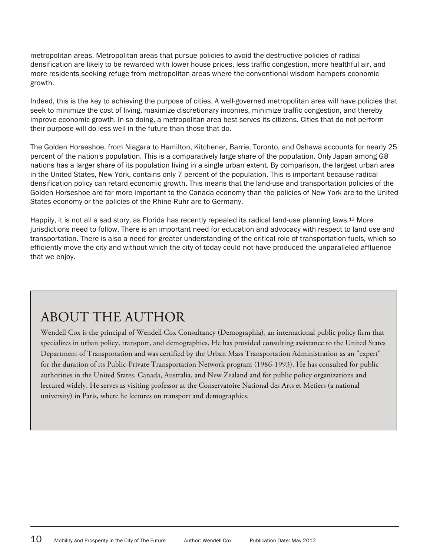metropolitan areas. Metropolitan areas that pursue policies to avoid the destructive policies of radical densification are likely to be rewarded with lower house prices, less traffic congestion, more healthful air, and more residents seeking refuge from metropolitan areas where the conventional wisdom hampers economic growth.

Indeed, this is the key to achieving the purpose of cities. A well-governed metropolitan area will have policies that seek to minimize the cost of living, maximize discretionary incomes, minimize traffic congestion, and thereby improve economic growth. In so doing, a metropolitan area best serves its citizens. Cities that do not perform their purpose will do less well in the future than those that do.

The Golden Horseshoe, from Niagara to Hamilton, Kitchener, Barrie, Toronto, and Oshawa accounts for nearly 25 percent of the nation's population. This is a comparatively large share of the population. Only Japan among G8 nations has a larger share of its population living in a single urban extent. By comparison, the largest urban area in the United States, New York, contains only 7 percent of the population. This is important because radical densification policy can retard economic growth. This means that the land-use and transportation policies of the Golden Horseshoe are far more important to the Canada economy than the policies of New York are to the United States economy or the policies of the Rhine-Ruhr are to Germany.

Happily, it is not all a sad story, as Florida has recently repealed its radical land-use planning laws.13 More jurisdictions need to follow. There is an important need for education and advocacy with respect to land use and transportation. There is also a need for greater understanding of the critical role of transportation fuels, which so efficiently move the city and without which the city of today could not have produced the unparalleled affluence that we enjoy.

#### ABOUT THE AUTHOR

Wendell Cox is the principal of Wendell Cox Consultancy (Demographia), an international public policy firm that specializes in urban policy, transport, and demographics. He has provided consulting assistance to the United States Department of Transportation and was certified by the Urban Mass Transportation Administration as an "expert" for the duration of its Public-Private Transportation Network program (1986-1993). He has consulted for public authorities in the United States, Canada, Australia, and New Zealand and for public policy organizations and lectured widely. He serves as visiting professor at the Conservatoire National des Arts et Metiers (a national university) in Paris, where he lectures on transport and demographics.